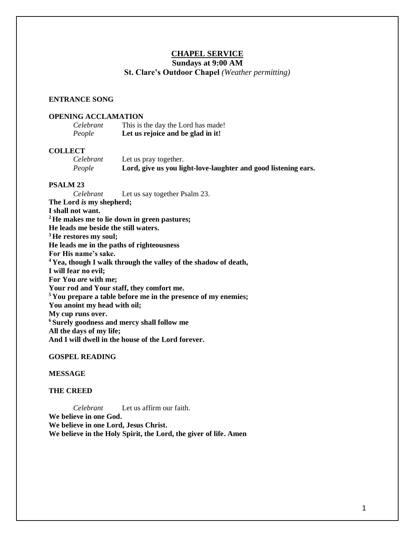# **CHAPEL SERVICE**

# **Sundays at 9:00 AM**

## **St. Clare's Outdoor Chapel** *(Weather permitting)*

### **ENTRANCE SONG**

## **OPENING ACCLAMATION**

| Celebrant | This is the day the Lord has made! |
|-----------|------------------------------------|
| People    | Let us rejoice and be glad in it!  |

#### **COLLECT**

*Celebrant* Let us pray together. *People* **Lord, give us you light-love-laughter and good listening ears.**

#### **PSALM 23**

*Celebrant* Let us say together Psalm 23. **The Lord** *is* **my shepherd; I shall not want. <sup>2</sup> He makes me to lie down in green pastures; He leads me beside the still waters. <sup>3</sup> He restores my soul; He leads me in the paths of righteousness For His name's sake. <sup>4</sup> Yea, though I walk through the valley of the shadow of death, I will fear no evil; For You** *are* **with me; Your rod and Your staff, they comfort me. <sup>5</sup> You prepare a table before me in the presence of my enemies; You anoint my head with oil; My cup runs over. <sup>6</sup> Surely goodness and mercy shall follow me All the days of my life; And I will dwell in the house of the Lord forever.**

#### **GOSPEL READING**

## **MESSAGE**

## **THE CREED**

*Celebrant* Let us affirm our faith. **We believe in one God. We believe in one Lord, Jesus Christ. We believe in the Holy Spirit, the Lord, the giver of life. Amen**